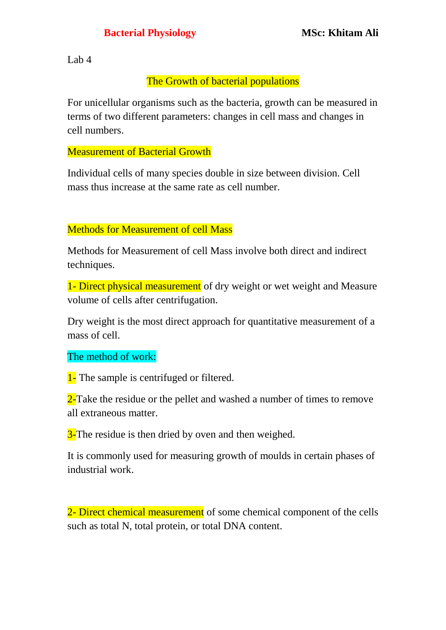Lab 4

### The Growth of bacterial populations

For unicellular organisms such as the bacteria, growth can be measured in terms of two different parameters: changes in cell mass and changes in cell numbers.

#### Measurement of Bacterial Growth

Individual cells of many species double in size between division. Cell mass thus increase at the same rate as cell number.

#### Methods for Measurement of cell Mass

Methods for Measurement of cell Mass involve both direct and indirect techniques.

1- Direct physical measurement of dry weight or wet weight and Measure volume of cells after centrifugation.

Dry weight is the most direct approach for quantitative measurement of a mass of cell.

#### The method of work:

1- The sample is centrifuged or filtered.

2-Take the residue or the pellet and washed a number of times to remove all extraneous matter.

**3-The residue is then dried by oven and then weighed.** 

It is commonly used for measuring growth of moulds in certain phases of industrial work.

2- Direct chemical measurement of some chemical component of the cells such as total N, total protein, or total DNA content.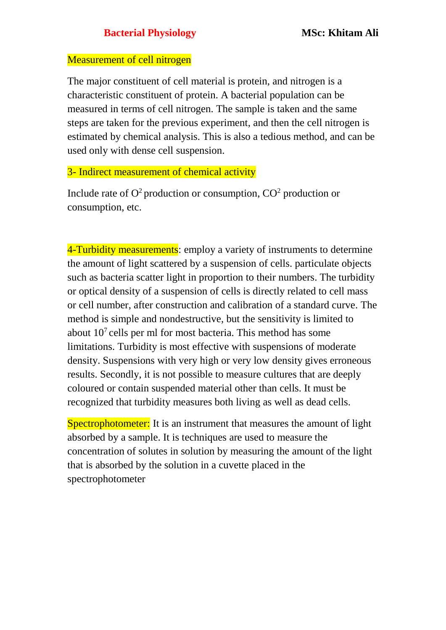#### Measurement of cell nitrogen

The major constituent of cell material is protein, and nitrogen is a characteristic constituent of protein. A bacterial population can be measured in terms of cell nitrogen. The sample is taken and the same steps are taken for the previous experiment, and then the cell nitrogen is estimated by chemical analysis. This is also a tedious method, and can be used only with dense cell suspension.

3- Indirect measurement of chemical activity

Include rate of  $O^2$  production or consumption,  $CO^2$  production or consumption, etc.

4-Turbidity measurements: employ a variety of instruments to determine the amount of light scattered by a suspension of cells. particulate objects such as bacteria scatter light in proportion to their numbers. The turbidity or optical density of a suspension of cells is directly related to cell mass or cell number, after construction and calibration of a standard curve. The method is simple and nondestructive, but the sensitivity is limited to about  $10<sup>7</sup>$  cells per ml for most bacteria. This method has some limitations. Turbidity is most effective with suspensions of moderate density. Suspensions with very high or very low density gives erroneous results. Secondly, it is not possible to measure cultures that are deeply coloured or contain suspended material other than cells. It must be recognized that turbidity measures both living as well as dead cells.

Spectrophotometer: It is an instrument that measures the amount of light absorbed by a sample. It is techniques are used to measure the concentration of solutes in solution by measuring the amount of the light that is absorbed by the solution in a cuvette placed in the spectrophotometer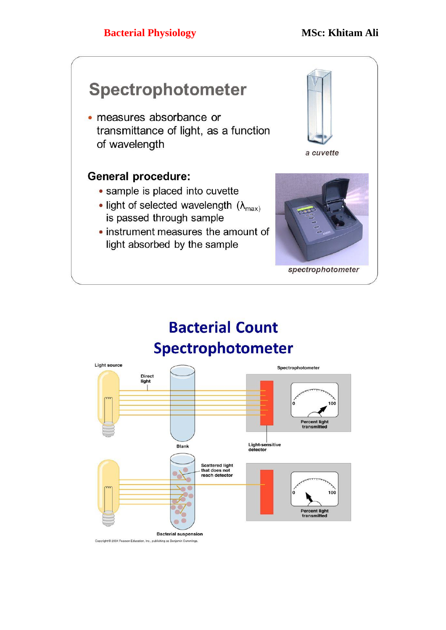

# **Bacterial Count** Spectrophotometer

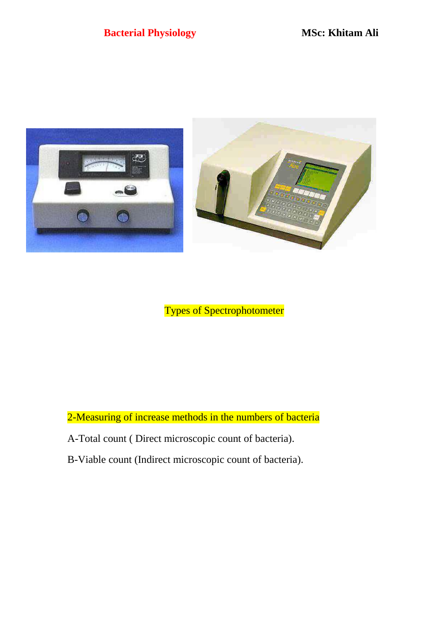## **Bacterial Physiology MSc: Khitam Ali**



Types of Spectrophotometer

2-Measuring of increase methods in the numbers of bacteria

- A-Total count ( Direct microscopic count of bacteria).
- B-Viable count (Indirect microscopic count of bacteria).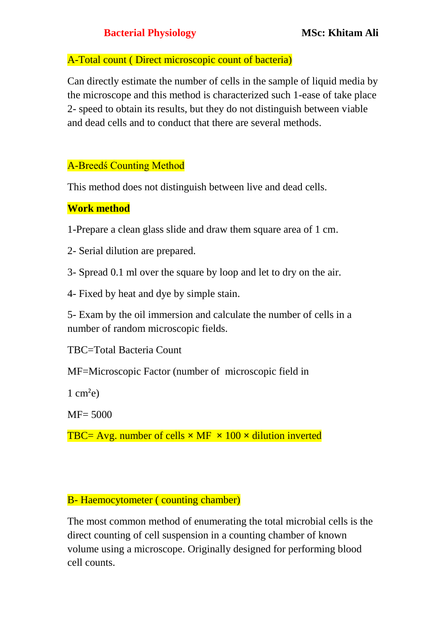#### **Bacterial Physiology MSc: Khitam Ali**

#### A-Total count ( Direct microscopic count of bacteria)

Can directly estimate the number of cells in the sample of liquid media by the microscope and this method is characterized such 1-ease of take place 2- speed to obtain its results, but they do not distinguish between viable and dead cells and to conduct that there are several methods.

#### A-Breedś Counting Method

This method does not distinguish between live and dead cells.

#### **Work method**

1-Prepare a clean glass slide and draw them square area of 1 cm.

- 2- Serial dilution are prepared.
- 3- Spread 0.1 ml over the square by loop and let to dry on the air.
- 4- Fixed by heat and dye by simple stain.

5- Exam by the oil immersion and calculate the number of cells in a number of random microscopic fields.

TBC=Total Bacteria Count

MF=Microscopic Factor (number of microscopic field in

 $1$  cm<sup>2</sup>e)

 $MF = 5000$ 

TBC= Avg. number of cells  $\times$  MF  $\times$  100  $\times$  dilution inverted

#### B- Haemocytometer ( counting chamber)

The most common method of enumerating the total microbial cells is the direct counting of cell suspension in a counting chamber of known volume using a microscope. Originally designed for performing blood cell counts.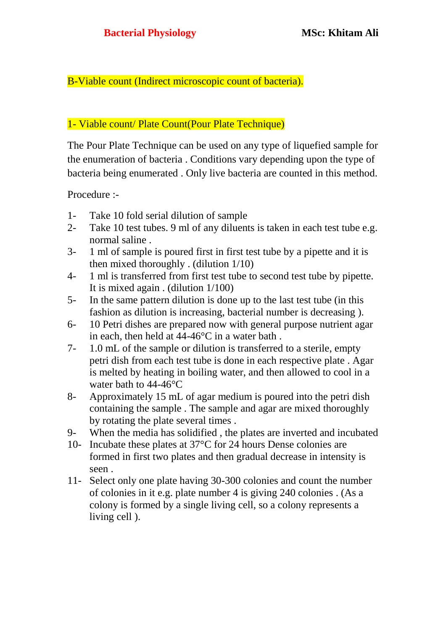B-Viable count (Indirect microscopic count of bacteria).

#### 1- Viable count/ Plate Count(Pour Plate Technique)

The Pour Plate Technique can be used on any type of liquefied sample for the enumeration of bacteria . Conditions vary depending upon the type of bacteria being enumerated . Only live bacteria are counted in this method.

Procedure :-

- 1- Take 10 fold serial dilution of sample
- 2- Take 10 test tubes. 9 ml of any diluents is taken in each test tube e.g. normal saline .
- 3- 1 ml of sample is poured first in first test tube by a pipette and it is then mixed thoroughly . (dilution 1/10)
- 4- 1 ml is transferred from first test tube to second test tube by pipette. It is mixed again . (dilution 1/100)
- 5- In the same pattern dilution is done up to the last test tube (in this fashion as dilution is increasing, bacterial number is decreasing ).
- 6- 10 Petri dishes are prepared now with general purpose nutrient agar in each, then held at 44-46°C in a water bath .
- 7- 1.0 mL of the sample or dilution is transferred to a sterile, empty petri dish from each test tube is done in each respective plate . Agar is melted by heating in boiling water, and then allowed to cool in a water bath to 44-46°C
- 8- Approximately 15 mL of agar medium is poured into the petri dish containing the sample . The sample and agar are mixed thoroughly by rotating the plate several times .
- 9- When the media has solidified , the plates are inverted and incubated
- 10- Incubate these plates at 37°C for 24 hours Dense colonies are formed in first two plates and then gradual decrease in intensity is seen .
- 11- Select only one plate having 30-300 colonies and count the number of colonies in it e.g. plate number 4 is giving 240 colonies . (As a colony is formed by a single living cell, so a colony represents a living cell ).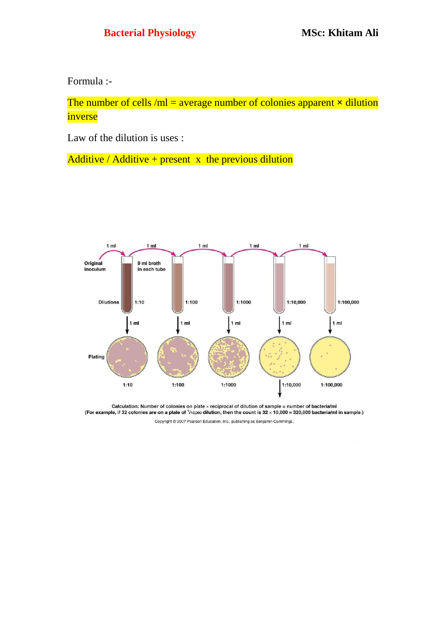Formula :-

The number of cells /ml = average number of colonies apparent  $\times$  dilution inverse

Law of the dilution is uses :

Additive / Additive + present x the previous dilution



Calculation: Number of colonies on plate x reciprocal of dilution of sample = number of bacteria/ml<br>(For example, if 32 colonies are on a plate of 1/10,000 dilution, then the count is 32 x 10,000 = 320,000 bacteria/ml in

Copyright @ 2007 Pearson Education, Inc., publishing as Benjamin Cummings.